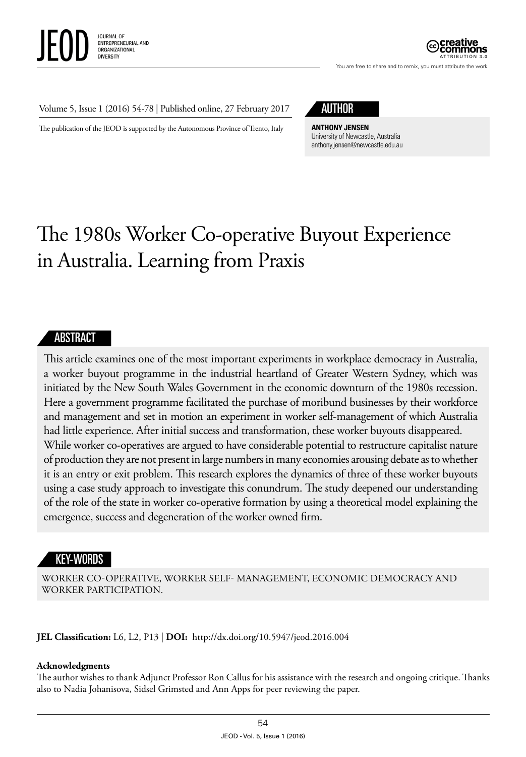

You are free to share and to remix, you must attribute the work

#### Volume 5, Issue 1 (2016) 54-78 | Published online, 27 February 2017

The publication of the JEOD is supported by the Autonomous Province of Trento, Italy

# AUTHOR

**ANTHONY JENSEN** University of Newcastle, Australia anthony.jensen@newcastle.edu.au

# The 1980s Worker Co-operative Buyout Experience in Australia. Learning from Praxis

#### ABSTRACT

This article examines one of the most important experiments in workplace democracy in Australia, a worker buyout programme in the industrial heartland of Greater Western Sydney, which was initiated by the New South Wales Government in the economic downturn of the 1980s recession. Here a government programme facilitated the purchase of moribund businesses by their workforce and management and set in motion an experiment in worker self-management of which Australia had little experience. After initial success and transformation, these worker buyouts disappeared. While worker co-operatives are argued to have considerable potential to restructure capitalist nature of production they are not present in large numbers in many economies arousing debate as to whether it is an entry or exit problem. This research explores the dynamics of three of these worker buyouts using a case study approach to investigate this conundrum. The study deepened our understanding of the role of the state in worker co-operative formation by using a theoretical model explaining the emergence, success and degeneration of the worker owned firm.

#### KEY-WORDS

WORKER CO-OPERATIVE, WORKER SELF- MANAGEMENT, ECONOMIC DEMOCRACY AND WORKER PARTICIPATION.

**JEL Classification:** L6, L2, P13 | **DOI:** <http://dx.doi.org/10.5947/jeod.2016.004>

#### **Acknowledgments**

The author wishes to thank Adjunct Professor Ron Callus for his assistance with the research and ongoing critique. Thanks also to Nadia Johanisova, Sidsel Grimsted and Ann Apps for peer reviewing the paper.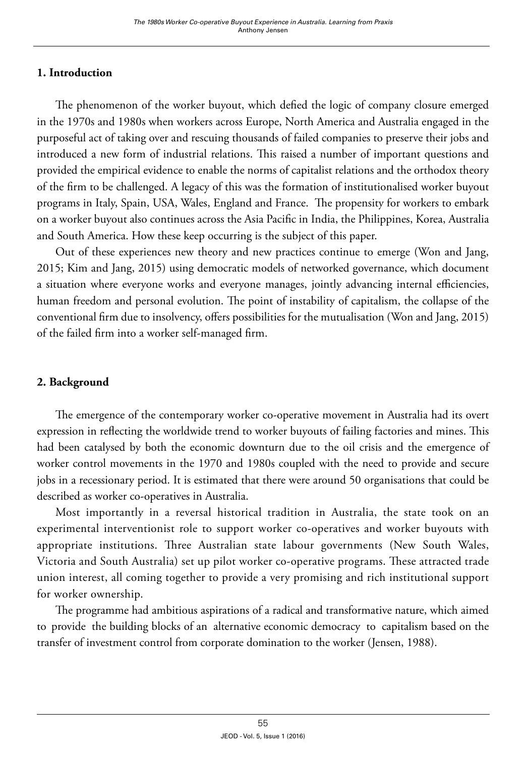# **1. Introduction**

The phenomenon of the worker buyout, which defied the logic of company closure emerged in the 1970s and 1980s when workers across Europe, North America and Australia engaged in the purposeful act of taking over and rescuing thousands of failed companies to preserve their jobs and introduced a new form of industrial relations. This raised a number of important questions and provided the empirical evidence to enable the norms of capitalist relations and the orthodox theory of the firm to be challenged. A legacy of this was the formation of institutionalised worker buyout programs in Italy, Spain, USA, Wales, England and France. The propensity for workers to embark on a worker buyout also continues across the Asia Pacific in India, the Philippines, Korea, Australia and South America. How these keep occurring is the subject of this paper.

Out of these experiences new theory and new practices continue to emerge (Won and Jang, 2015; Kim and Jang, 2015) using democratic models of networked governance, which document a situation where everyone works and everyone manages, jointly advancing internal efficiencies, human freedom and personal evolution. The point of instability of capitalism, the collapse of the conventional firm due to insolvency, offers possibilities for the mutualisation (Won and Jang, 2015) of the failed firm into a worker self-managed firm.

# **2. Background**

The emergence of the contemporary worker co-operative movement in Australia had its overt expression in reflecting the worldwide trend to worker buyouts of failing factories and mines. This had been catalysed by both the economic downturn due to the oil crisis and the emergence of worker control movements in the 1970 and 1980s coupled with the need to provide and secure jobs in a recessionary period. It is estimated that there were around 50 organisations that could be described as worker co-operatives in Australia.

Most importantly in a reversal historical tradition in Australia, the state took on an experimental interventionist role to support worker co-operatives and worker buyouts with appropriate institutions. Three Australian state labour governments (New South Wales, Victoria and South Australia) set up pilot worker co-operative programs. These attracted trade union interest, all coming together to provide a very promising and rich institutional support for worker ownership.

The programme had ambitious aspirations of a radical and transformative nature, which aimed to provide the building blocks of an alternative economic democracy to capitalism based on the transfer of investment control from corporate domination to the worker (Jensen, 1988).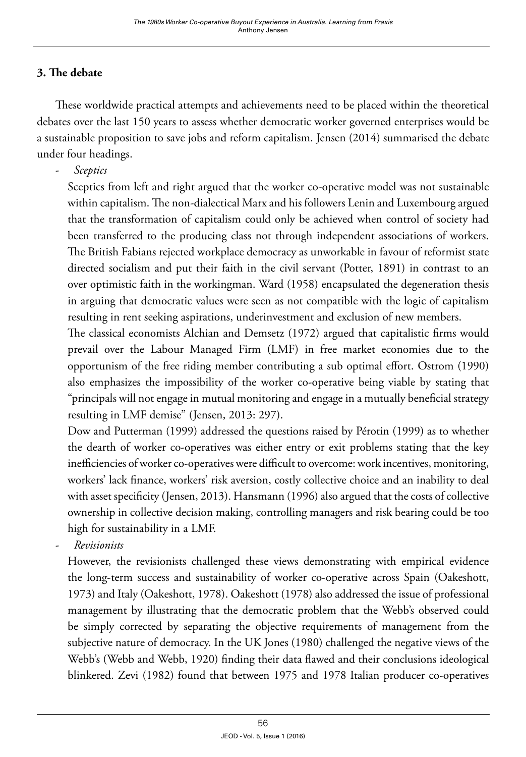# **3. The debate**

These worldwide practical attempts and achievements need to be placed within the theoretical debates over the last 150 years to assess whether democratic worker governed enterprises would be a sustainable proposition to save jobs and reform capitalism. Jensen (2014) summarised the debate under four headings.

- *Sceptics*

Sceptics from left and right argued that the worker co-operative model was not sustainable within capitalism. The non-dialectical Marx and his followers Lenin and Luxembourg argued that the transformation of capitalism could only be achieved when control of society had been transferred to the producing class not through independent associations of workers. The British Fabians rejected workplace democracy as unworkable in favour of reformist state directed socialism and put their faith in the civil servant (Potter, 1891) in contrast to an over optimistic faith in the workingman. Ward (1958) encapsulated the degeneration thesis in arguing that democratic values were seen as not compatible with the logic of capitalism resulting in rent seeking aspirations, underinvestment and exclusion of new members.

The classical economists Alchian and Demsetz (1972) argued that capitalistic firms would prevail over the Labour Managed Firm (LMF) in free market economies due to the opportunism of the free riding member contributing a sub optimal effort. Ostrom (1990) also emphasizes the impossibility of the worker co-operative being viable by stating that "principals will not engage in mutual monitoring and engage in a mutually beneficial strategy resulting in LMF demise" (Jensen, 2013: 297).

Dow and Putterman (1999) addressed the questions raised by Pérotin (1999) as to whether the dearth of worker co-operatives was either entry or exit problems stating that the key inefficiencies of worker co-operatives were difficult to overcome: work incentives, monitoring, workers' lack finance, workers' risk aversion, costly collective choice and an inability to deal with asset specificity (Jensen, 2013). Hansmann (1996) also argued that the costs of collective ownership in collective decision making, controlling managers and risk bearing could be too high for sustainability in a LMF.

- *Revisionists*

However, the revisionists challenged these views demonstrating with empirical evidence the long-term success and sustainability of worker co-operative across Spain (Oakeshott, 1973) and Italy (Oakeshott, 1978). Oakeshott (1978) also addressed the issue of professional management by illustrating that the democratic problem that the Webb's observed could be simply corrected by separating the objective requirements of management from the subjective nature of democracy. In the UK Jones (1980) challenged the negative views of the Webb's (Webb and Webb, 1920) finding their data flawed and their conclusions ideological blinkered. Zevi (1982) found that between 1975 and 1978 Italian producer co-operatives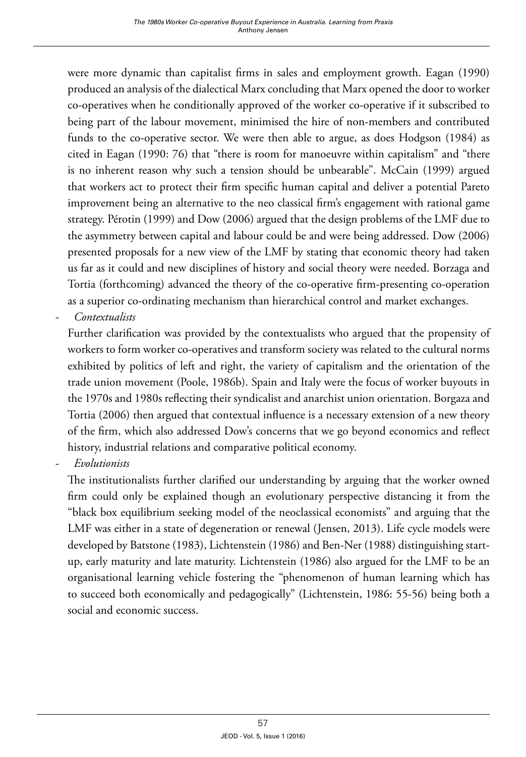were more dynamic than capitalist firms in sales and employment growth. Eagan (1990) produced an analysis of the dialectical Marx concluding that Marx opened the door to worker co-operatives when he conditionally approved of the worker co-operative if it subscribed to being part of the labour movement, minimised the hire of non-members and contributed funds to the co-operative sector. We were then able to argue, as does Hodgson (1984) as cited in Eagan (1990: 76) that "there is room for manoeuvre within capitalism" and "there is no inherent reason why such a tension should be unbearable". McCain (1999) argued that workers act to protect their firm specific human capital and deliver a potential Pareto improvement being an alternative to the neo classical firm's engagement with rational game strategy. Pérotin (1999) and Dow (2006) argued that the design problems of the LMF due to the asymmetry between capital and labour could be and were being addressed. Dow (2006) presented proposals for a new view of the LMF by stating that economic theory had taken us far as it could and new disciplines of history and social theory were needed. Borzaga and Tortia (forthcoming) advanced the theory of the co-operative firm-presenting co-operation as a superior co-ordinating mechanism than hierarchical control and market exchanges.

- *Contextualists*

Further clarification was provided by the contextualists who argued that the propensity of workers to form worker co-operatives and transform society was related to the cultural norms exhibited by politics of left and right, the variety of capitalism and the orientation of the trade union movement (Poole, 1986b). Spain and Italy were the focus of worker buyouts in the 1970s and 1980s reflecting their syndicalist and anarchist union orientation. Borgaza and Tortia (2006) then argued that contextual influence is a necessary extension of a new theory of the firm, which also addressed Dow's concerns that we go beyond economics and reflect history, industrial relations and comparative political economy.

- *Evolutionists*

The institutionalists further clarified our understanding by arguing that the worker owned firm could only be explained though an evolutionary perspective distancing it from the "black box equilibrium seeking model of the neoclassical economists" and arguing that the LMF was either in a state of degeneration or renewal (Jensen, 2013). Life cycle models were developed by Batstone (1983), Lichtenstein (1986) and Ben-Ner (1988) distinguishing startup, early maturity and late maturity. Lichtenstein (1986) also argued for the LMF to be an organisational learning vehicle fostering the "phenomenon of human learning which has to succeed both economically and pedagogically" (Lichtenstein, 1986: 55-56) being both a social and economic success.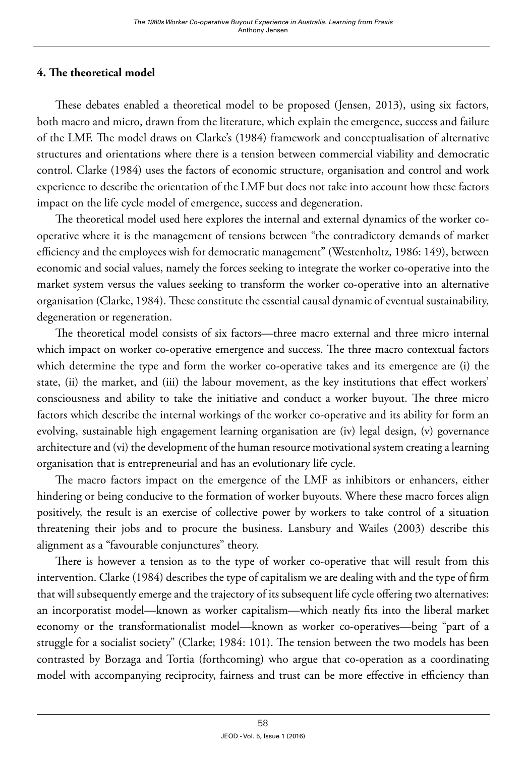# **4. The theoretical model**

These debates enabled a theoretical model to be proposed (Jensen, 2013), using six factors, both macro and micro, drawn from the literature, which explain the emergence, success and failure of the LMF. The model draws on Clarke's (1984) framework and conceptualisation of alternative structures and orientations where there is a tension between commercial viability and democratic control. Clarke (1984) uses the factors of economic structure, organisation and control and work experience to describe the orientation of the LMF but does not take into account how these factors impact on the life cycle model of emergence, success and degeneration.

The theoretical model used here explores the internal and external dynamics of the worker cooperative where it is the management of tensions between "the contradictory demands of market efficiency and the employees wish for democratic management" (Westenholtz, 1986: 149), between economic and social values, namely the forces seeking to integrate the worker co-operative into the market system versus the values seeking to transform the worker co-operative into an alternative organisation (Clarke, 1984). These constitute the essential causal dynamic of eventual sustainability, degeneration or regeneration.

The theoretical model consists of six factors—three macro external and three micro internal which impact on worker co-operative emergence and success. The three macro contextual factors which determine the type and form the worker co-operative takes and its emergence are (i) the state, (ii) the market, and (iii) the labour movement, as the key institutions that effect workers' consciousness and ability to take the initiative and conduct a worker buyout. The three micro factors which describe the internal workings of the worker co-operative and its ability for form an evolving, sustainable high engagement learning organisation are (iv) legal design, (v) governance architecture and (vi) the development of the human resource motivational system creating a learning organisation that is entrepreneurial and has an evolutionary life cycle.

The macro factors impact on the emergence of the LMF as inhibitors or enhancers, either hindering or being conducive to the formation of worker buyouts. Where these macro forces align positively, the result is an exercise of collective power by workers to take control of a situation threatening their jobs and to procure the business. Lansbury and Wailes (2003) describe this alignment as a "favourable conjunctures" theory.

There is however a tension as to the type of worker co-operative that will result from this intervention. Clarke (1984) describes the type of capitalism we are dealing with and the type of firm that will subsequently emerge and the trajectory of its subsequent life cycle offering two alternatives: an incorporatist model—known as worker capitalism—which neatly fits into the liberal market economy or the transformationalist model—known as worker co-operatives—being "part of a struggle for a socialist society" (Clarke; 1984: 101). The tension between the two models has been contrasted by Borzaga and Tortia (forthcoming) who argue that co-operation as a coordinating model with accompanying reciprocity, fairness and trust can be more effective in efficiency than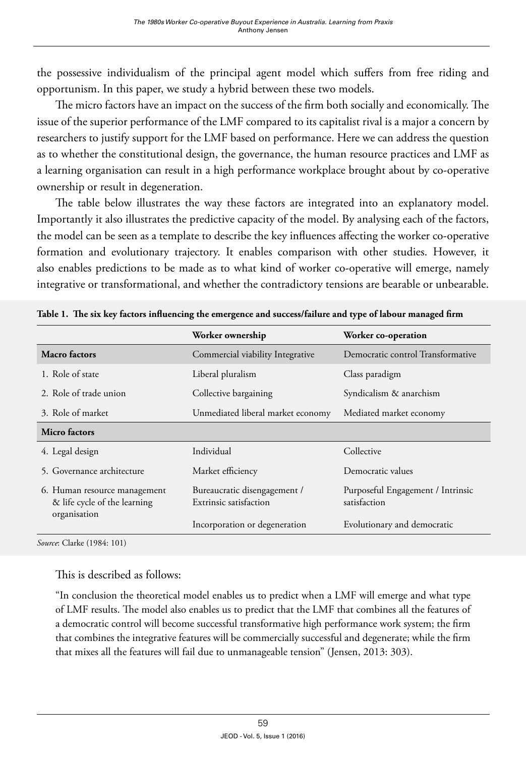the possessive individualism of the principal agent model which suffers from free riding and opportunism. In this paper, we study a hybrid between these two models.

The micro factors have an impact on the success of the firm both socially and economically. The issue of the superior performance of the LMF compared to its capitalist rival is a major a concern by researchers to justify support for the LMF based on performance. Here we can address the question as to whether the constitutional design, the governance, the human resource practices and LMF as a learning organisation can result in a high performance workplace brought about by co-operative ownership or result in degeneration.

The table below illustrates the way these factors are integrated into an explanatory model. Importantly it also illustrates the predictive capacity of the model. By analysing each of the factors, the model can be seen as a template to describe the key influences affecting the worker co-operative formation and evolutionary trajectory. It enables comparison with other studies. However, it also enables predictions to be made as to what kind of worker co-operative will emerge, namely integrative or transformational, and whether the contradictory tensions are bearable or unbearable.

|                                                                              | Worker ownership                                                      | Worker co-operation                               |  |  |
|------------------------------------------------------------------------------|-----------------------------------------------------------------------|---------------------------------------------------|--|--|
| <b>Macro</b> factors                                                         | Democratic control Transformative<br>Commercial viability Integrative |                                                   |  |  |
| 1. Role of state                                                             | Liberal pluralism                                                     | Class paradigm                                    |  |  |
| 2. Role of trade union                                                       | Collective bargaining                                                 | Syndicalism & anarchism                           |  |  |
| 3. Role of market                                                            | Unmediated liberal market economy<br>Mediated market economy          |                                                   |  |  |
| Micro factors                                                                |                                                                       |                                                   |  |  |
| 4. Legal design                                                              | Individual                                                            | Collective                                        |  |  |
| 5. Governance architecture                                                   | Market efficiency                                                     | Democratic values                                 |  |  |
| 6. Human resource management<br>& life cycle of the learning<br>organisation | Bureaucratic disengagement /<br>Extrinsic satisfaction                | Purposeful Engagement / Intrinsic<br>satisfaction |  |  |
|                                                                              | Incorporation or degeneration                                         | Evolutionary and democratic                       |  |  |
|                                                                              |                                                                       |                                                   |  |  |

**Table 1. The six key factors influencing the emergence and success/failure and type of labour managed firm**

*Source*: Clarke (1984: 101)

This is described as follows:

"In conclusion the theoretical model enables us to predict when a LMF will emerge and what type of LMF results. The model also enables us to predict that the LMF that combines all the features of a democratic control will become successful transformative high performance work system; the firm that combines the integrative features will be commercially successful and degenerate; while the firm that mixes all the features will fail due to unmanageable tension" (Jensen, 2013: 303).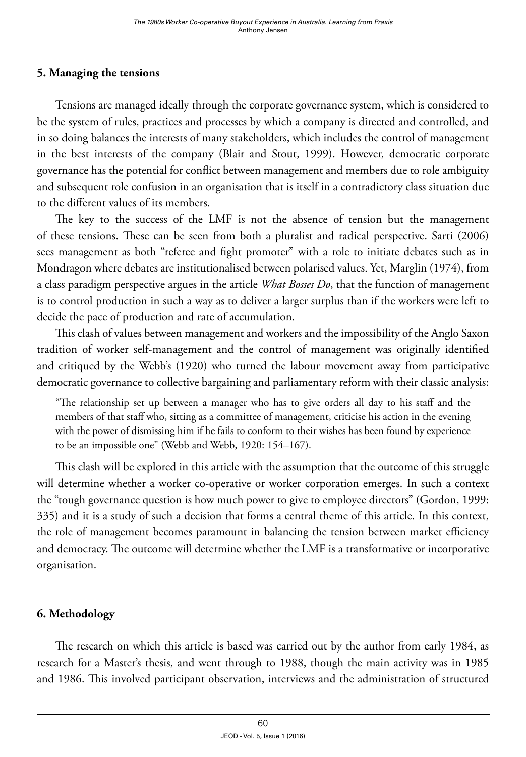# **5. Managing the tensions**

Tensions are managed ideally through the corporate governance system, which is considered to be the system of rules, practices and processes by which a company is directed and controlled, and in so doing balances the interests of many stakeholders, which includes the control of management in the best interests of the company (Blair and Stout, 1999). However, democratic corporate governance has the potential for conflict between management and members due to role ambiguity and subsequent role confusion in an organisation that is itself in a contradictory class situation due to the different values of its members.

The key to the success of the LMF is not the absence of tension but the management of these tensions. These can be seen from both a pluralist and radical perspective. Sarti (2006) sees management as both "referee and fight promoter" with a role to initiate debates such as in Mondragon where debates are institutionalised between polarised values. Yet, Marglin (1974), from a class paradigm perspective argues in the article *What Bosses Do*, that the function of management is to control production in such a way as to deliver a larger surplus than if the workers were left to decide the pace of production and rate of accumulation.

This clash of values between management and workers and the impossibility of the Anglo Saxon tradition of worker self-management and the control of management was originally identified and critiqued by the Webb's (1920) who turned the labour movement away from participative democratic governance to collective bargaining and parliamentary reform with their classic analysis:

"The relationship set up between a manager who has to give orders all day to his staff and the members of that staff who, sitting as a committee of management, criticise his action in the evening with the power of dismissing him if he fails to conform to their wishes has been found by experience to be an impossible one" (Webb and Webb, 1920: 154–167).

This clash will be explored in this article with the assumption that the outcome of this struggle will determine whether a worker co-operative or worker corporation emerges. In such a context the "tough governance question is how much power to give to employee directors" (Gordon, 1999: 335) and it is a study of such a decision that forms a central theme of this article. In this context, the role of management becomes paramount in balancing the tension between market efficiency and democracy. The outcome will determine whether the LMF is a transformative or incorporative organisation.

# **6. Methodology**

The research on which this article is based was carried out by the author from early 1984, as research for a Master's thesis, and went through to 1988, though the main activity was in 1985 and 1986. This involved participant observation, interviews and the administration of structured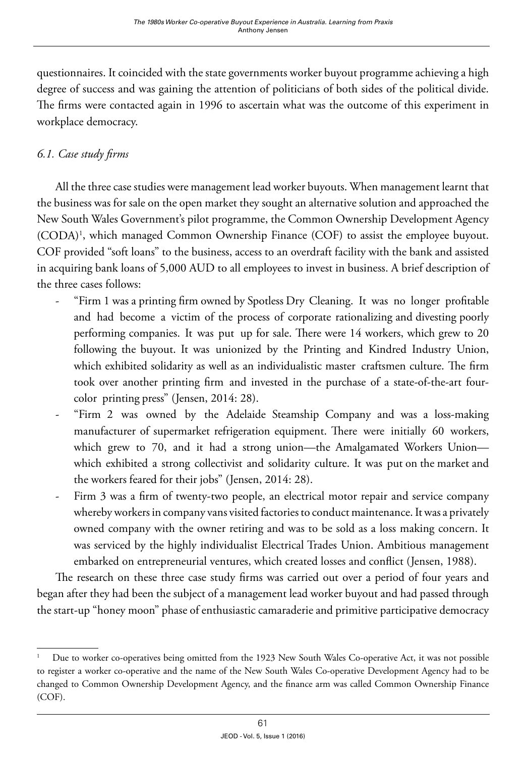questionnaires. It coincided with the state governments worker buyout programme achieving a high degree of success and was gaining the attention of politicians of both sides of the political divide. The firms were contacted again in 1996 to ascertain what was the outcome of this experiment in workplace democracy.

# *6.1. Case study firms*

All the three case studies were management lead worker buyouts. When management learnt that the business was for sale on the open market they sought an alternative solution and approached the New South Wales Government's pilot programme, the Common Ownership Development Agency (CODA)1 , which managed Common Ownership Finance (COF) to assist the employee buyout. COF provided "soft loans" to the business, access to an overdraft facility with the bank and assisted in acquiring bank loans of 5,000 AUD to all employees to invest in business. A brief description of the three cases follows:

- "Firm 1 was a printing firm owned by Spotless Dry Cleaning. It was no longer profitable and had become a victim of the process of corporate rationalizing and divesting poorly performing companies. It was put up for sale. There were 14 workers, which grew to 20 following the buyout. It was unionized by the Printing and Kindred Industry Union, which exhibited solidarity as well as an individualistic master craftsmen culture. The firm took over another printing firm and invested in the purchase of a state-of-the-art fourcolor printing press" (Jensen, 2014: 28).
- "Firm 2 was owned by the Adelaide Steamship Company and was a loss-making manufacturer of supermarket refrigeration equipment. There were initially 60 workers, which grew to 70, and it had a strong union—the Amalgamated Workers Union which exhibited a strong collectivist and solidarity culture. It was put on the market and the workers feared for their jobs" (Jensen, 2014: 28).
- Firm 3 was a firm of twenty-two people, an electrical motor repair and service company whereby workers in company vans visited factories to conduct maintenance. It was a privately owned company with the owner retiring and was to be sold as a loss making concern. It was serviced by the highly individualist Electrical Trades Union. Ambitious management embarked on entrepreneurial ventures, which created losses and conflict (Jensen, 1988).

The research on these three case study firms was carried out over a period of four years and began after they had been the subject of a management lead worker buyout and had passed through the start-up "honey moon" phase of enthusiastic camaraderie and primitive participative democracy

Due to worker co-operatives being omitted from the 1923 New South Wales Co-operative Act, it was not possible to register a worker co-operative and the name of the New South Wales Co-operative Development Agency had to be changed to Common Ownership Development Agency, and the finance arm was called Common Ownership Finance (COF).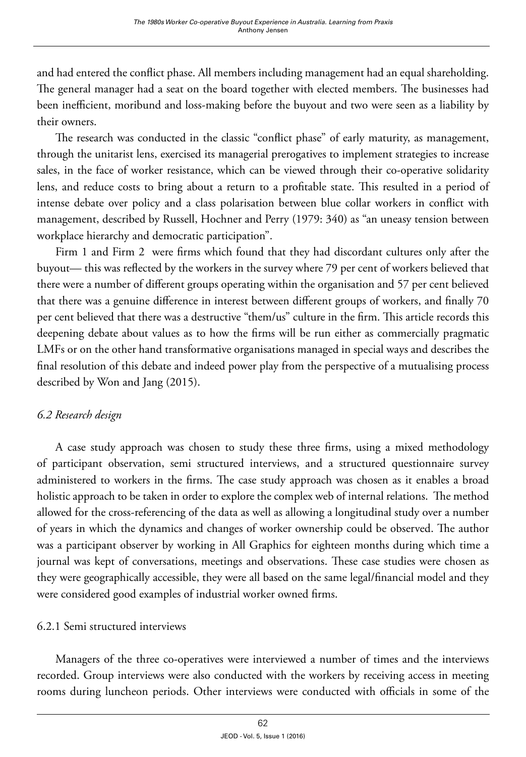and had entered the conflict phase. All members including management had an equal shareholding. The general manager had a seat on the board together with elected members. The businesses had been inefficient, moribund and loss-making before the buyout and two were seen as a liability by their owners.

The research was conducted in the classic "conflict phase" of early maturity, as management, through the unitarist lens, exercised its managerial prerogatives to implement strategies to increase sales, in the face of worker resistance, which can be viewed through their co-operative solidarity lens, and reduce costs to bring about a return to a profitable state. This resulted in a period of intense debate over policy and a class polarisation between blue collar workers in conflict with management, described by Russell, Hochner and Perry (1979: 340) as "an uneasy tension between workplace hierarchy and democratic participation".

Firm 1 and Firm 2 were firms which found that they had discordant cultures only after the buyout— this was reflected by the workers in the survey where 79 per cent of workers believed that there were a number of different groups operating within the organisation and 57 per cent believed that there was a genuine difference in interest between different groups of workers, and finally 70 per cent believed that there was a destructive "them/us" culture in the firm. This article records this deepening debate about values as to how the firms will be run either as commercially pragmatic LMFs or on the other hand transformative organisations managed in special ways and describes the final resolution of this debate and indeed power play from the perspective of a mutualising process described by Won and Jang (2015).

# *6.2 Research design*

A case study approach was chosen to study these three firms, using a mixed methodology of participant observation, semi structured interviews, and a structured questionnaire survey administered to workers in the firms. The case study approach was chosen as it enables a broad holistic approach to be taken in order to explore the complex web of internal relations. The method allowed for the cross-referencing of the data as well as allowing a longitudinal study over a number of years in which the dynamics and changes of worker ownership could be observed. The author was a participant observer by working in All Graphics for eighteen months during which time a journal was kept of conversations, meetings and observations. These case studies were chosen as they were geographically accessible, they were all based on the same legal/financial model and they were considered good examples of industrial worker owned firms.

# 6.2.1 Semi structured interviews

Managers of the three co-operatives were interviewed a number of times and the interviews recorded. Group interviews were also conducted with the workers by receiving access in meeting rooms during luncheon periods. Other interviews were conducted with officials in some of the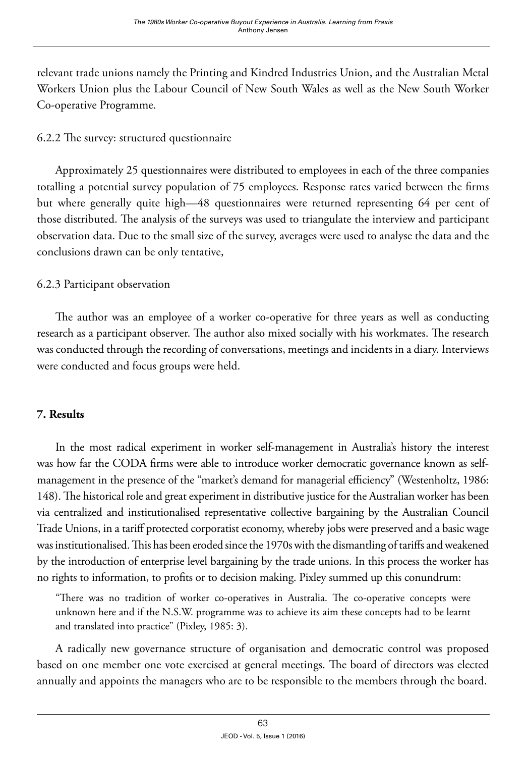relevant trade unions namely the Printing and Kindred Industries Union, and the Australian Metal Workers Union plus the Labour Council of New South Wales as well as the New South Worker Co-operative Programme.

# 6.2.2 The survey: structured questionnaire

Approximately 25 questionnaires were distributed to employees in each of the three companies totalling a potential survey population of 75 employees. Response rates varied between the firms but where generally quite high—48 questionnaires were returned representing 64 per cent of those distributed. The analysis of the surveys was used to triangulate the interview and participant observation data. Due to the small size of the survey, averages were used to analyse the data and the conclusions drawn can be only tentative,

# 6.2.3 Participant observation

The author was an employee of a worker co-operative for three years as well as conducting research as a participant observer. The author also mixed socially with his workmates. The research was conducted through the recording of conversations, meetings and incidents in a diary. Interviews were conducted and focus groups were held.

# **7. Results**

In the most radical experiment in worker self-management in Australia's history the interest was how far the CODA firms were able to introduce worker democratic governance known as selfmanagement in the presence of the "market's demand for managerial efficiency" (Westenholtz, 1986: 148). The historical role and great experiment in distributive justice for the Australian worker has been via centralized and institutionalised representative collective bargaining by the Australian Council Trade Unions, in a tariff protected corporatist economy, whereby jobs were preserved and a basic wage was institutionalised. This has been eroded since the 1970s with the dismantling of tariffs and weakened by the introduction of enterprise level bargaining by the trade unions. In this process the worker has no rights to information, to profits or to decision making. Pixley summed up this conundrum:

"There was no tradition of worker co-operatives in Australia. The co-operative concepts were unknown here and if the N.S.W. programme was to achieve its aim these concepts had to be learnt and translated into practice" (Pixley, 1985: 3).

A radically new governance structure of organisation and democratic control was proposed based on one member one vote exercised at general meetings. The board of directors was elected annually and appoints the managers who are to be responsible to the members through the board.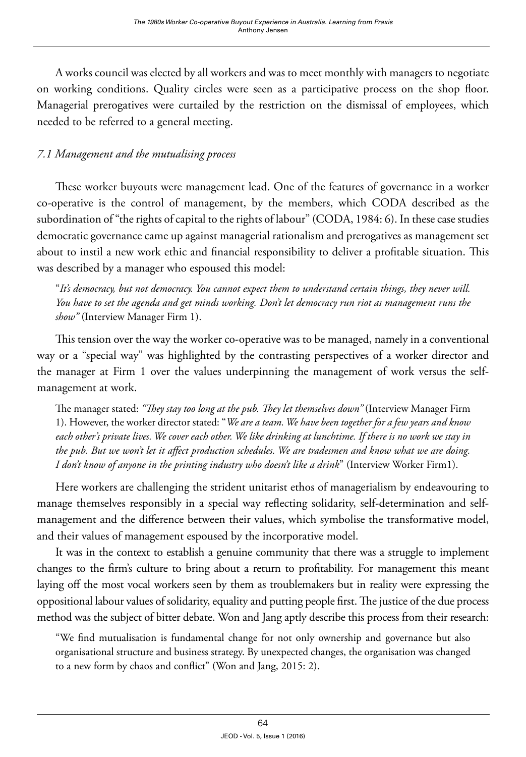A works council was elected by all workers and was to meet monthly with managers to negotiate on working conditions. Quality circles were seen as a participative process on the shop floor. Managerial prerogatives were curtailed by the restriction on the dismissal of employees, which needed to be referred to a general meeting.

# *7.1 Management and the mutualising process*

These worker buyouts were management lead. One of the features of governance in a worker co-operative is the control of management, by the members, which CODA described as the subordination of "the rights of capital to the rights of labour" (CODA, 1984: 6). In these case studies democratic governance came up against managerial rationalism and prerogatives as management set about to instil a new work ethic and financial responsibility to deliver a profitable situation. This was described by a manager who espoused this model:

"*It's democracy, but not democracy. You cannot expect them to understand certain things, they never will. You have to set the agenda and get minds working. Don't let democracy run riot as management runs the show"* (Interview Manager Firm 1).

This tension over the way the worker co-operative was to be managed, namely in a conventional way or a "special way" was highlighted by the contrasting perspectives of a worker director and the manager at Firm 1 over the values underpinning the management of work versus the selfmanagement at work.

The manager stated: *"They stay too long at the pub. They let themselves down"* (Interview Manager Firm 1). However, the worker director stated: "*We are a team. We have been together for a few years and know each other's private lives. We cover each other. We like drinking at lunchtime. If there is no work we stay in the pub. But we won't let it affect production schedules. We are tradesmen and know what we are doing. I don't know of anyone in the printing industry who doesn't like a drink*" (Interview Worker Firm1).

Here workers are challenging the strident unitarist ethos of managerialism by endeavouring to manage themselves responsibly in a special way reflecting solidarity, self-determination and selfmanagement and the difference between their values, which symbolise the transformative model, and their values of management espoused by the incorporative model.

It was in the context to establish a genuine community that there was a struggle to implement changes to the firm's culture to bring about a return to profitability. For management this meant laying off the most vocal workers seen by them as troublemakers but in reality were expressing the oppositional labour values of solidarity, equality and putting people first. The justice of the due process method was the subject of bitter debate. Won and Jang aptly describe this process from their research:

"We find mutualisation is fundamental change for not only ownership and governance but also organisational structure and business strategy. By unexpected changes, the organisation was changed to a new form by chaos and conflict" (Won and Jang, 2015: 2).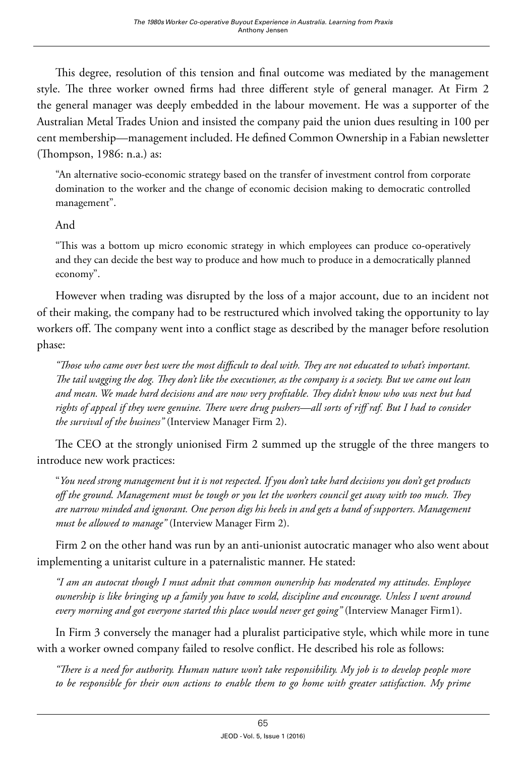This degree, resolution of this tension and final outcome was mediated by the management style. The three worker owned firms had three different style of general manager. At Firm 2 the general manager was deeply embedded in the labour movement. He was a supporter of the Australian Metal Trades Union and insisted the company paid the union dues resulting in 100 per cent membership—management included. He defined Common Ownership in a Fabian newsletter (Thompson, 1986: n.a.) as:

"An alternative socio-economic strategy based on the transfer of investment control from corporate domination to the worker and the change of economic decision making to democratic controlled management".

# And

"This was a bottom up micro economic strategy in which employees can produce co-operatively and they can decide the best way to produce and how much to produce in a democratically planned economy".

However when trading was disrupted by the loss of a major account, due to an incident not of their making, the company had to be restructured which involved taking the opportunity to lay workers off. The company went into a conflict stage as described by the manager before resolution phase:

*"Those who came over best were the most difficult to deal with. They are not educated to what's important. The tail wagging the dog. They don't like the executioner, as the company is a society. But we came out lean and mean. We made hard decisions and are now very profitable. They didn't know who was next but had rights of appeal if they were genuine. There were drug pushers—all sorts of riff raf. But I had to consider the survival of the business"* (Interview Manager Firm 2).

The CEO at the strongly unionised Firm 2 summed up the struggle of the three mangers to introduce new work practices:

"*You need strong management but it is not respected. If you don't take hard decisions you don't get products off the ground. Management must be tough or you let the workers council get away with too much. They are narrow minded and ignorant. One person digs his heels in and gets a band of supporters. Management must be allowed to manage"* (Interview Manager Firm 2).

Firm 2 on the other hand was run by an anti-unionist autocratic manager who also went about implementing a unitarist culture in a paternalistic manner. He stated:

*"I am an autocrat though I must admit that common ownership has moderated my attitudes. Employee ownership is like bringing up a family you have to scold, discipline and encourage. Unless I went around every morning and got everyone started this place would never get going"* (Interview Manager Firm1).

In Firm 3 conversely the manager had a pluralist participative style, which while more in tune with a worker owned company failed to resolve conflict. He described his role as follows:

*"There is a need for authority. Human nature won't take responsibility. My job is to develop people more to be responsible for their own actions to enable them to go home with greater satisfaction. My prime*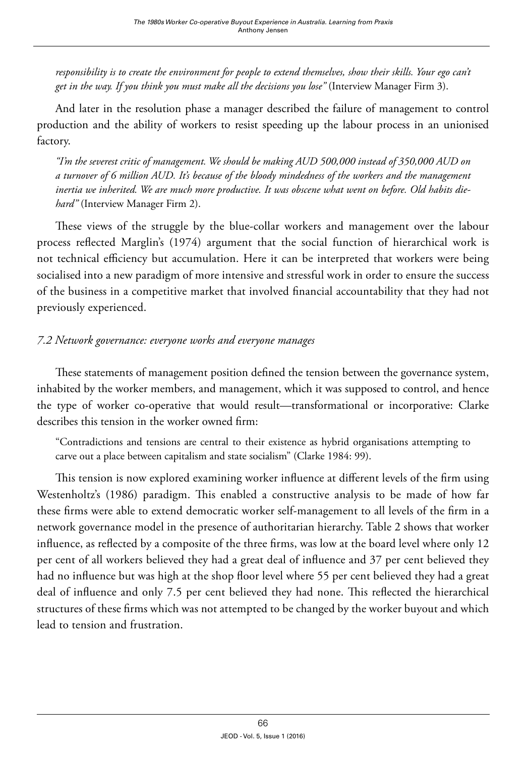responsibility is to create the environment for people to extend themselves, show their skills. Your ego can't *get in the way. If you think you must make all the decisions you lose"* (Interview Manager Firm 3).

And later in the resolution phase a manager described the failure of management to control production and the ability of workers to resist speeding up the labour process in an unionised factory.

*"I'm the severest critic of management. We should be making AUD 500,000 instead of 350,000 AUD on a turnover of 6 million AUD. It's because of the bloody mindedness of the workers and the management inertia we inherited. We are much more productive. It was obscene what went on before. Old habits diehard"* (Interview Manager Firm 2).

These views of the struggle by the blue-collar workers and management over the labour process reflected Marglin's (1974) argument that the social function of hierarchical work is not technical efficiency but accumulation. Here it can be interpreted that workers were being socialised into a new paradigm of more intensive and stressful work in order to ensure the success of the business in a competitive market that involved financial accountability that they had not previously experienced.

# *7.2 Network governance: everyone works and everyone manages*

These statements of management position defined the tension between the governance system, inhabited by the worker members, and management, which it was supposed to control, and hence the type of worker co-operative that would result—transformational or incorporative: Clarke describes this tension in the worker owned firm:

"Contradictions and tensions are central to their existence as hybrid organisations attempting to carve out a place between capitalism and state socialism" (Clarke 1984: 99).

This tension is now explored examining worker influence at different levels of the firm using Westenholtz's (1986) paradigm. This enabled a constructive analysis to be made of how far these firms were able to extend democratic worker self-management to all levels of the firm in a network governance model in the presence of authoritarian hierarchy. Table 2 shows that worker influence, as reflected by a composite of the three firms, was low at the board level where only 12 per cent of all workers believed they had a great deal of influence and 37 per cent believed they had no influence but was high at the shop floor level where 55 per cent believed they had a great deal of influence and only 7.5 per cent believed they had none. This reflected the hierarchical structures of these firms which was not attempted to be changed by the worker buyout and which lead to tension and frustration.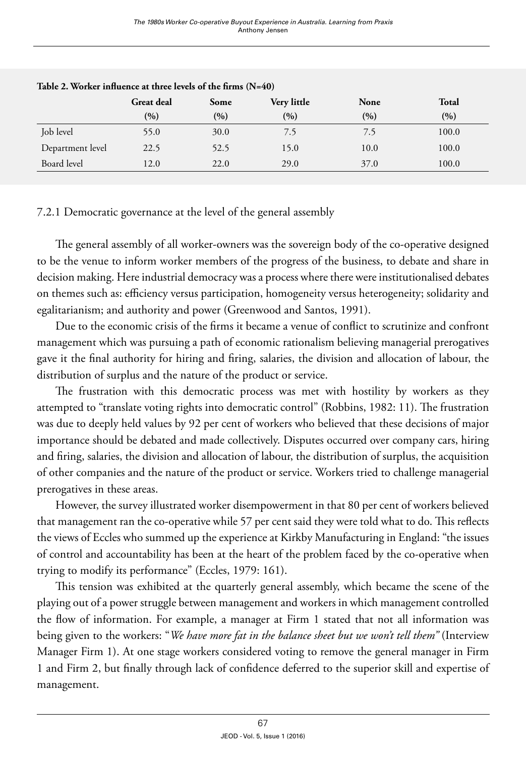|                  | <b>Great deal</b> | Some | Very little | None  | Total |
|------------------|-------------------|------|-------------|-------|-------|
|                  | (%)               | (%)  | (%)         | (9/0) | (9/0) |
| Job level        | 55.0              | 30.0 | 7.5         | 7.5   | 100.0 |
| Department level | 22.5              | 52.5 | 15.0        | 10.0  | 100.0 |
| Board level      | 12.0              | 22.0 | 29.0        | 37.0  | 100.0 |

#### **Table 2. Worker influence at three levels of the firms (N=40)**

### 7.2.1 Democratic governance at the level of the general assembly

The general assembly of all worker-owners was the sovereign body of the co-operative designed to be the venue to inform worker members of the progress of the business, to debate and share in decision making. Here industrial democracy was a process where there were institutionalised debates on themes such as: efficiency versus participation, homogeneity versus heterogeneity; solidarity and egalitarianism; and authority and power (Greenwood and Santos, 1991).

Due to the economic crisis of the firms it became a venue of conflict to scrutinize and confront management which was pursuing a path of economic rationalism believing managerial prerogatives gave it the final authority for hiring and firing, salaries, the division and allocation of labour, the distribution of surplus and the nature of the product or service.

The frustration with this democratic process was met with hostility by workers as they attempted to "translate voting rights into democratic control" (Robbins, 1982: 11). The frustration was due to deeply held values by 92 per cent of workers who believed that these decisions of major importance should be debated and made collectively. Disputes occurred over company cars, hiring and firing, salaries, the division and allocation of labour, the distribution of surplus, the acquisition of other companies and the nature of the product or service. Workers tried to challenge managerial prerogatives in these areas.

However, the survey illustrated worker disempowerment in that 80 per cent of workers believed that management ran the co-operative while 57 per cent said they were told what to do. This reflects the views of Eccles who summed up the experience at Kirkby Manufacturing in England: "the issues of control and accountability has been at the heart of the problem faced by the co-operative when trying to modify its performance" (Eccles, 1979: 161).

This tension was exhibited at the quarterly general assembly, which became the scene of the playing out of a power struggle between management and workers in which management controlled the flow of information. For example, a manager at Firm 1 stated that not all information was being given to the workers: "*We have more fat in the balance sheet but we won't tell them"* (Interview Manager Firm 1). At one stage workers considered voting to remove the general manager in Firm 1 and Firm 2, but finally through lack of confidence deferred to the superior skill and expertise of management.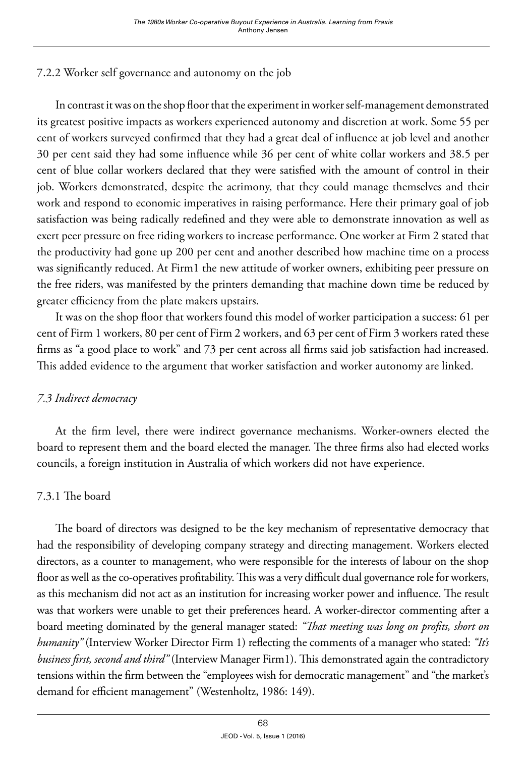# 7.2.2 Worker self governance and autonomy on the job

In contrast it was on the shop floor that the experiment in worker self-management demonstrated its greatest positive impacts as workers experienced autonomy and discretion at work. Some 55 per cent of workers surveyed confirmed that they had a great deal of influence at job level and another 30 per cent said they had some influence while 36 per cent of white collar workers and 38.5 per cent of blue collar workers declared that they were satisfied with the amount of control in their job. Workers demonstrated, despite the acrimony, that they could manage themselves and their work and respond to economic imperatives in raising performance. Here their primary goal of job satisfaction was being radically redefined and they were able to demonstrate innovation as well as exert peer pressure on free riding workers to increase performance. One worker at Firm 2 stated that the productivity had gone up 200 per cent and another described how machine time on a process was significantly reduced. At Firm1 the new attitude of worker owners, exhibiting peer pressure on the free riders, was manifested by the printers demanding that machine down time be reduced by greater efficiency from the plate makers upstairs.

It was on the shop floor that workers found this model of worker participation a success: 61 per cent of Firm 1 workers, 80 per cent of Firm 2 workers, and 63 per cent of Firm 3 workers rated these firms as "a good place to work" and 73 per cent across all firms said job satisfaction had increased. This added evidence to the argument that worker satisfaction and worker autonomy are linked.

# *7.3 Indirect democracy*

At the firm level, there were indirect governance mechanisms. Worker-owners elected the board to represent them and the board elected the manager. The three firms also had elected works councils, a foreign institution in Australia of which workers did not have experience.

# 7.3.1 The board

The board of directors was designed to be the key mechanism of representative democracy that had the responsibility of developing company strategy and directing management. Workers elected directors, as a counter to management, who were responsible for the interests of labour on the shop floor as well as the co-operatives profitability. This was a very difficult dual governance role for workers, as this mechanism did not act as an institution for increasing worker power and influence. The result was that workers were unable to get their preferences heard. A worker-director commenting after a board meeting dominated by the general manager stated: *"That meeting was long on profits, short on humanity"* (Interview Worker Director Firm 1) reflecting the comments of a manager who stated: *"It's business first, second and third"* (Interview Manager Firm1). This demonstrated again the contradictory tensions within the firm between the "employees wish for democratic management" and "the market's demand for efficient management" (Westenholtz, 1986: 149).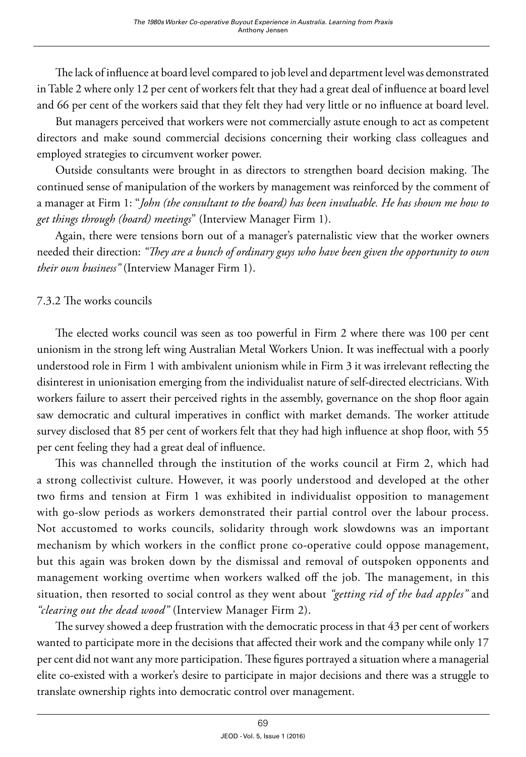The lack of influence at board level compared to job level and department level was demonstrated in Table 2 where only 12 per cent of workers felt that they had a great deal of influence at board level and 66 per cent of the workers said that they felt they had very little or no influence at board level.

But managers perceived that workers were not commercially astute enough to act as competent directors and make sound commercial decisions concerning their working class colleagues and employed strategies to circumvent worker power.

Outside consultants were brought in as directors to strengthen board decision making. The continued sense of manipulation of the workers by management was reinforced by the comment of a manager at Firm 1: "*John (the consultant to the board) has been invaluable. He has shown me how to get things through (board) meetings*" (Interview Manager Firm 1).

Again, there were tensions born out of a manager's paternalistic view that the worker owners needed their direction: *"They are a bunch of ordinary guys who have been given the opportunity to own their own business"* (Interview Manager Firm 1).

# 7.3.2 The works councils

The elected works council was seen as too powerful in Firm 2 where there was 100 per cent unionism in the strong left wing Australian Metal Workers Union. It was ineffectual with a poorly understood role in Firm 1 with ambivalent unionism while in Firm 3 it was irrelevant reflecting the disinterest in unionisation emerging from the individualist nature of self-directed electricians. With workers failure to assert their perceived rights in the assembly, governance on the shop floor again saw democratic and cultural imperatives in conflict with market demands. The worker attitude survey disclosed that 85 per cent of workers felt that they had high influence at shop floor, with 55 per cent feeling they had a great deal of influence.

This was channelled through the institution of the works council at Firm 2, which had a strong collectivist culture. However, it was poorly understood and developed at the other two firms and tension at Firm 1 was exhibited in individualist opposition to management with go-slow periods as workers demonstrated their partial control over the labour process. Not accustomed to works councils, solidarity through work slowdowns was an important mechanism by which workers in the conflict prone co-operative could oppose management, but this again was broken down by the dismissal and removal of outspoken opponents and management working overtime when workers walked off the job. The management, in this situation, then resorted to social control as they went about *"getting rid of the bad apples"* and *"clearing out the dead wood"* (Interview Manager Firm 2).

The survey showed a deep frustration with the democratic process in that 43 per cent of workers wanted to participate more in the decisions that affected their work and the company while only 17 per cent did not want any more participation. These figures portrayed a situation where a managerial elite co-existed with a worker's desire to participate in major decisions and there was a struggle to translate ownership rights into democratic control over management.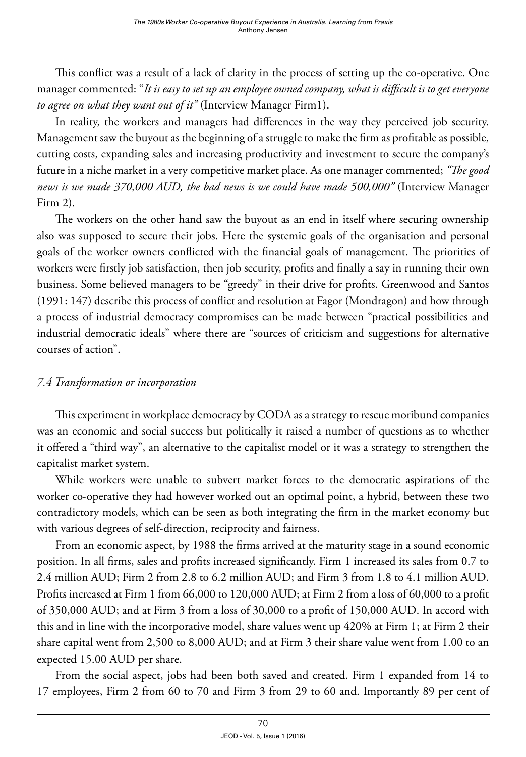This conflict was a result of a lack of clarity in the process of setting up the co-operative. One manager commented: "*It is easy to set up an employee owned company, what is difficult is to get everyone to agree on what they want out of it"* (Interview Manager Firm1).

In reality, the workers and managers had differences in the way they perceived job security. Management saw the buyout as the beginning of a struggle to make the firm as profitable as possible, cutting costs, expanding sales and increasing productivity and investment to secure the company's future in a niche market in a very competitive market place. As one manager commented; *"The good news is we made 370,000 AUD, the bad news is we could have made 500,000"* (Interview Manager Firm 2).

The workers on the other hand saw the buyout as an end in itself where securing ownership also was supposed to secure their jobs. Here the systemic goals of the organisation and personal goals of the worker owners conflicted with the financial goals of management. The priorities of workers were firstly job satisfaction, then job security, profits and finally a say in running their own business. Some believed managers to be "greedy" in their drive for profits. Greenwood and Santos (1991: 147) describe this process of conflict and resolution at Fagor (Mondragon) and how through a process of industrial democracy compromises can be made between "practical possibilities and industrial democratic ideals" where there are "sources of criticism and suggestions for alternative courses of action".

### *7.4 Transformation or incorporation*

This experiment in workplace democracy by CODA as a strategy to rescue moribund companies was an economic and social success but politically it raised a number of questions as to whether it offered a "third way", an alternative to the capitalist model or it was a strategy to strengthen the capitalist market system.

While workers were unable to subvert market forces to the democratic aspirations of the worker co-operative they had however worked out an optimal point, a hybrid, between these two contradictory models, which can be seen as both integrating the firm in the market economy but with various degrees of self-direction, reciprocity and fairness.

From an economic aspect, by 1988 the firms arrived at the maturity stage in a sound economic position. In all firms, sales and profits increased significantly. Firm 1 increased its sales from 0.7 to 2.4 million AUD; Firm 2 from 2.8 to 6.2 million AUD; and Firm 3 from 1.8 to 4.1 million AUD. Profits increased at Firm 1 from 66,000 to 120,000 AUD; at Firm 2 from a loss of 60,000 to a profit of 350,000 AUD; and at Firm 3 from a loss of 30,000 to a profit of 150,000 AUD. In accord with this and in line with the incorporative model, share values went up 420% at Firm 1; at Firm 2 their share capital went from 2,500 to 8,000 AUD; and at Firm 3 their share value went from 1.00 to an expected 15.00 AUD per share.

From the social aspect, jobs had been both saved and created. Firm 1 expanded from 14 to 17 employees, Firm 2 from 60 to 70 and Firm 3 from 29 to 60 and. Importantly 89 per cent of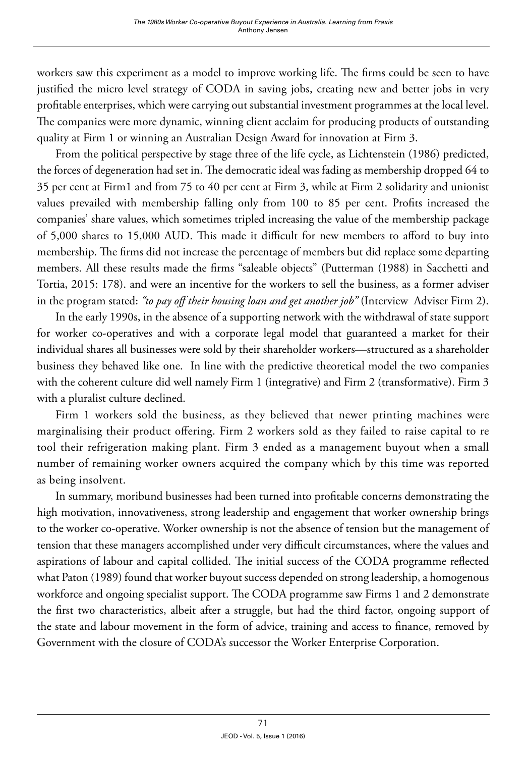workers saw this experiment as a model to improve working life. The firms could be seen to have justified the micro level strategy of CODA in saving jobs, creating new and better jobs in very profitable enterprises, which were carrying out substantial investment programmes at the local level. The companies were more dynamic, winning client acclaim for producing products of outstanding quality at Firm 1 or winning an Australian Design Award for innovation at Firm 3.

From the political perspective by stage three of the life cycle, as Lichtenstein (1986) predicted, the forces of degeneration had set in. The democratic ideal was fading as membership dropped 64 to 35 per cent at Firm1 and from 75 to 40 per cent at Firm 3, while at Firm 2 solidarity and unionist values prevailed with membership falling only from 100 to 85 per cent. Profits increased the companies' share values, which sometimes tripled increasing the value of the membership package of 5,000 shares to 15,000 AUD. This made it difficult for new members to afford to buy into membership. The firms did not increase the percentage of members but did replace some departing members. All these results made the firms "saleable objects" (Putterman (1988) in Sacchetti and Tortia, 2015: 178). and were an incentive for the workers to sell the business, as a former adviser in the program stated: *"to pay off their housing loan and get another job"* (Interview Adviser Firm 2).

In the early 1990s, in the absence of a supporting network with the withdrawal of state support for worker co-operatives and with a corporate legal model that guaranteed a market for their individual shares all businesses were sold by their shareholder workers—structured as a shareholder business they behaved like one. In line with the predictive theoretical model the two companies with the coherent culture did well namely Firm 1 (integrative) and Firm 2 (transformative). Firm 3 with a pluralist culture declined.

Firm 1 workers sold the business, as they believed that newer printing machines were marginalising their product offering. Firm 2 workers sold as they failed to raise capital to re tool their refrigeration making plant. Firm 3 ended as a management buyout when a small number of remaining worker owners acquired the company which by this time was reported as being insolvent.

In summary, moribund businesses had been turned into profitable concerns demonstrating the high motivation, innovativeness, strong leadership and engagement that worker ownership brings to the worker co-operative. Worker ownership is not the absence of tension but the management of tension that these managers accomplished under very difficult circumstances, where the values and aspirations of labour and capital collided. The initial success of the CODA programme reflected what Paton (1989) found that worker buyout success depended on strong leadership, a homogenous workforce and ongoing specialist support. The CODA programme saw Firms 1 and 2 demonstrate the first two characteristics, albeit after a struggle, but had the third factor, ongoing support of the state and labour movement in the form of advice, training and access to finance, removed by Government with the closure of CODA's successor the Worker Enterprise Corporation.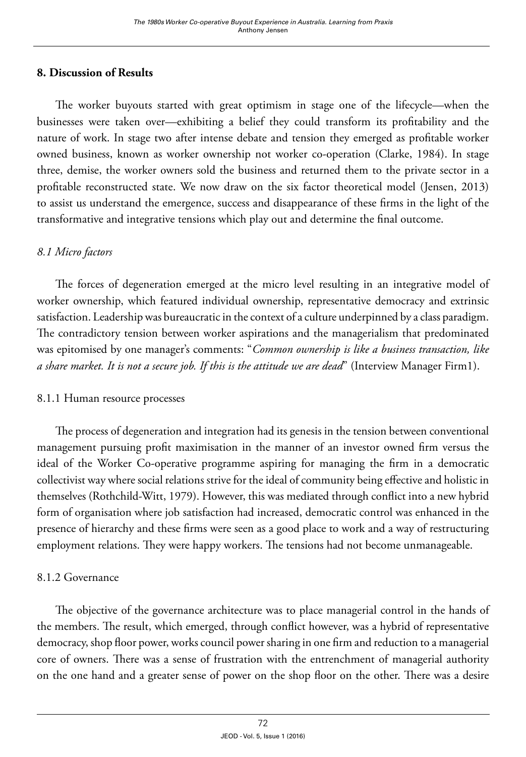# **8. Discussion of Results**

The worker buyouts started with great optimism in stage one of the lifecycle—when the businesses were taken over—exhibiting a belief they could transform its profitability and the nature of work. In stage two after intense debate and tension they emerged as profitable worker owned business, known as worker ownership not worker co-operation (Clarke, 1984). In stage three, demise, the worker owners sold the business and returned them to the private sector in a profitable reconstructed state. We now draw on the six factor theoretical model (Jensen, 2013) to assist us understand the emergence, success and disappearance of these firms in the light of the transformative and integrative tensions which play out and determine the final outcome.

### *8.1 Micro factors*

The forces of degeneration emerged at the micro level resulting in an integrative model of worker ownership, which featured individual ownership, representative democracy and extrinsic satisfaction. Leadership was bureaucratic in the context of a culture underpinned by a class paradigm. The contradictory tension between worker aspirations and the managerialism that predominated was epitomised by one manager's comments: "*Common ownership is like a business transaction, like a share market. It is not a secure job. If this is the attitude we are dead*" (Interview Manager Firm1).

### 8.1.1 Human resource processes

The process of degeneration and integration had its genesis in the tension between conventional management pursuing profit maximisation in the manner of an investor owned firm versus the ideal of the Worker Co-operative programme aspiring for managing the firm in a democratic collectivist way where social relations strive for the ideal of community being effective and holistic in themselves (Rothchild-Witt, 1979). However, this was mediated through conflict into a new hybrid form of organisation where job satisfaction had increased, democratic control was enhanced in the presence of hierarchy and these firms were seen as a good place to work and a way of restructuring employment relations. They were happy workers. The tensions had not become unmanageable.

# 8.1.2 Governance

The objective of the governance architecture was to place managerial control in the hands of the members. The result, which emerged, through conflict however, was a hybrid of representative democracy, shop floor power, works council power sharing in one firm and reduction to a managerial core of owners. There was a sense of frustration with the entrenchment of managerial authority on the one hand and a greater sense of power on the shop floor on the other. There was a desire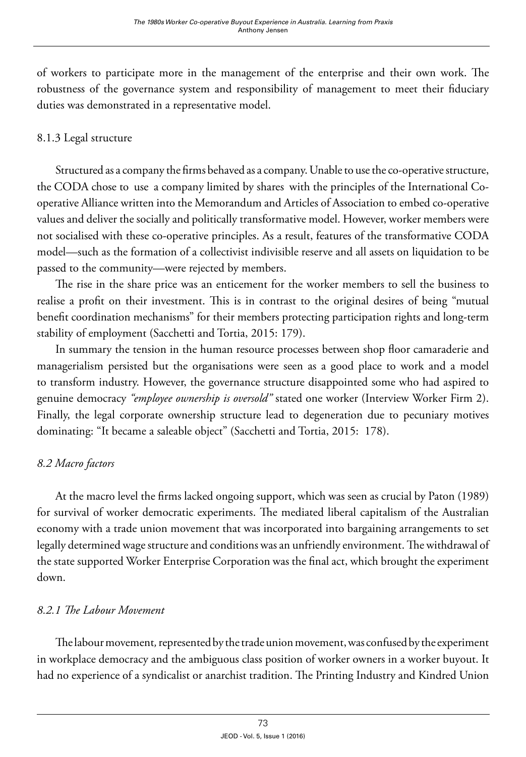of workers to participate more in the management of the enterprise and their own work. The robustness of the governance system and responsibility of management to meet their fiduciary duties was demonstrated in a representative model.

# 8.1.3 Legal structure

Structured as a company the firms behaved as a company. Unable to use the co-operative structure, the CODA chose to use a company limited by shares with the principles of the International Cooperative Alliance written into the Memorandum and Articles of Association to embed co-operative values and deliver the socially and politically transformative model. However, worker members were not socialised with these co-operative principles. As a result, features of the transformative CODA model—such as the formation of a collectivist indivisible reserve and all assets on liquidation to be passed to the community—were rejected by members.

The rise in the share price was an enticement for the worker members to sell the business to realise a profit on their investment. This is in contrast to the original desires of being "mutual benefit coordination mechanisms" for their members protecting participation rights and long-term stability of employment (Sacchetti and Tortia, 2015: 179).

In summary the tension in the human resource processes between shop floor camaraderie and managerialism persisted but the organisations were seen as a good place to work and a model to transform industry. However, the governance structure disappointed some who had aspired to genuine democracy *"employee ownership is oversold"* stated one worker (Interview Worker Firm 2). Finally, the legal corporate ownership structure lead to degeneration due to pecuniary motives dominating: "It became a saleable object" (Sacchetti and Tortia, 2015: 178).

# *8.2 Macro factors*

At the macro level the firms lacked ongoing support, which was seen as crucial by Paton (1989) for survival of worker democratic experiments. The mediated liberal capitalism of the Australian economy with a trade union movement that was incorporated into bargaining arrangements to set legally determined wage structure and conditions was an unfriendly environment. The withdrawal of the state supported Worker Enterprise Corporation was the final act, which brought the experiment down.

# *8.2.1 The Labour Movement*

The labour movement*,* represented by the trade union movement, was confused by the experiment in workplace democracy and the ambiguous class position of worker owners in a worker buyout. It had no experience of a syndicalist or anarchist tradition. The Printing Industry and Kindred Union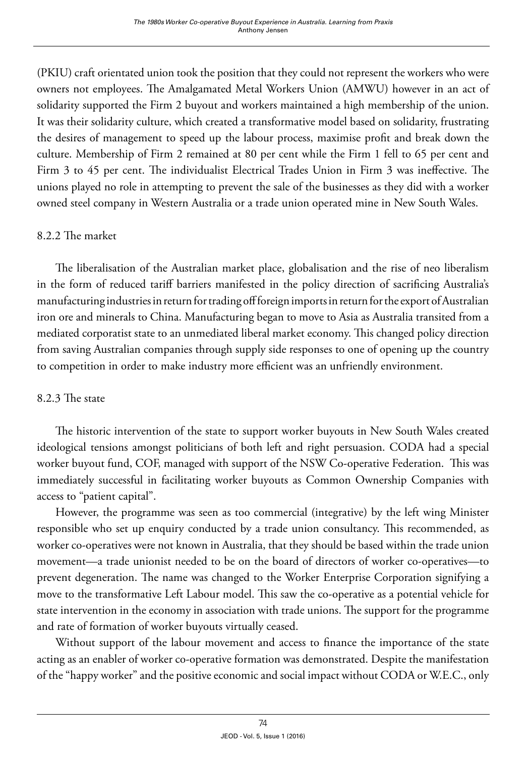(PKIU) craft orientated union took the position that they could not represent the workers who were owners not employees. The Amalgamated Metal Workers Union (AMWU) however in an act of solidarity supported the Firm 2 buyout and workers maintained a high membership of the union. It was their solidarity culture, which created a transformative model based on solidarity, frustrating the desires of management to speed up the labour process, maximise profit and break down the culture. Membership of Firm 2 remained at 80 per cent while the Firm 1 fell to 65 per cent and Firm 3 to 45 per cent. The individualist Electrical Trades Union in Firm 3 was ineffective. The unions played no role in attempting to prevent the sale of the businesses as they did with a worker owned steel company in Western Australia or a trade union operated mine in New South Wales.

# 8.2.2 The market

The liberalisation of the Australian market place, globalisation and the rise of neo liberalism in the form of reduced tariff barriers manifested in the policy direction of sacrificing Australia's manufacturing industries in return for trading off foreign imports in return for the export of Australian iron ore and minerals to China. Manufacturing began to move to Asia as Australia transited from a mediated corporatist state to an unmediated liberal market economy. This changed policy direction from saving Australian companies through supply side responses to one of opening up the country to competition in order to make industry more efficient was an unfriendly environment.

# 8.2.3 The state

The historic intervention of the state to support worker buyouts in New South Wales created ideological tensions amongst politicians of both left and right persuasion. CODA had a special worker buyout fund, COF, managed with support of the NSW Co-operative Federation. This was immediately successful in facilitating worker buyouts as Common Ownership Companies with access to "patient capital".

However, the programme was seen as too commercial (integrative) by the left wing Minister responsible who set up enquiry conducted by a trade union consultancy. This recommended, as worker co-operatives were not known in Australia, that they should be based within the trade union movement—a trade unionist needed to be on the board of directors of worker co-operatives—to prevent degeneration. The name was changed to the Worker Enterprise Corporation signifying a move to the transformative Left Labour model. This saw the co-operative as a potential vehicle for state intervention in the economy in association with trade unions. The support for the programme and rate of formation of worker buyouts virtually ceased.

Without support of the labour movement and access to finance the importance of the state acting as an enabler of worker co-operative formation was demonstrated. Despite the manifestation of the "happy worker" and the positive economic and social impact without CODA or W.E.C., only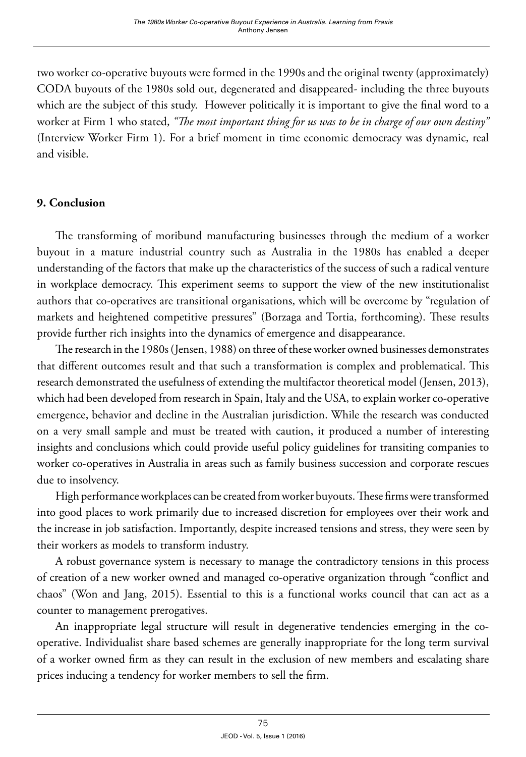two worker co-operative buyouts were formed in the 1990s and the original twenty (approximately) CODA buyouts of the 1980s sold out, degenerated and disappeared- including the three buyouts which are the subject of this study. However politically it is important to give the final word to a worker at Firm 1 who stated, *"The most important thing for us was to be in charge of our own destiny"* (Interview Worker Firm 1). For a brief moment in time economic democracy was dynamic, real and visible.

# **9. Conclusion**

The transforming of moribund manufacturing businesses through the medium of a worker buyout in a mature industrial country such as Australia in the 1980s has enabled a deeper understanding of the factors that make up the characteristics of the success of such a radical venture in workplace democracy. This experiment seems to support the view of the new institutionalist authors that co-operatives are transitional organisations, which will be overcome by "regulation of markets and heightened competitive pressures" (Borzaga and Tortia, forthcoming). These results provide further rich insights into the dynamics of emergence and disappearance.

The research in the 1980s (Jensen, 1988) on three of these worker owned businesses demonstrates that different outcomes result and that such a transformation is complex and problematical. This research demonstrated the usefulness of extending the multifactor theoretical model (Jensen, 2013), which had been developed from research in Spain, Italy and the USA, to explain worker co-operative emergence, behavior and decline in the Australian jurisdiction. While the research was conducted on a very small sample and must be treated with caution, it produced a number of interesting insights and conclusions which could provide useful policy guidelines for transiting companies to worker co-operatives in Australia in areas such as family business succession and corporate rescues due to insolvency.

High performance workplaces can be created from worker buyouts. These firms were transformed into good places to work primarily due to increased discretion for employees over their work and the increase in job satisfaction. Importantly, despite increased tensions and stress, they were seen by their workers as models to transform industry.

A robust governance system is necessary to manage the contradictory tensions in this process of creation of a new worker owned and managed co-operative organization through "conflict and chaos" (Won and Jang, 2015). Essential to this is a functional works council that can act as a counter to management prerogatives.

An inappropriate legal structure will result in degenerative tendencies emerging in the cooperative. Individualist share based schemes are generally inappropriate for the long term survival of a worker owned firm as they can result in the exclusion of new members and escalating share prices inducing a tendency for worker members to sell the firm.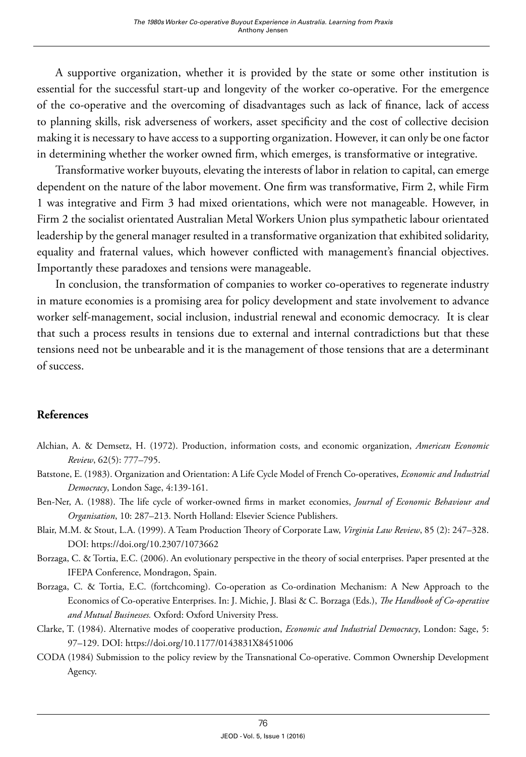A supportive organization, whether it is provided by the state or some other institution is essential for the successful start-up and longevity of the worker co-operative. For the emergence of the co-operative and the overcoming of disadvantages such as lack of finance, lack of access to planning skills, risk adverseness of workers, asset specificity and the cost of collective decision making it is necessary to have access to a supporting organization. However, it can only be one factor in determining whether the worker owned firm, which emerges, is transformative or integrative.

Transformative worker buyouts, elevating the interests of labor in relation to capital, can emerge dependent on the nature of the labor movement. One firm was transformative, Firm 2, while Firm 1 was integrative and Firm 3 had mixed orientations, which were not manageable. However, in Firm 2 the socialist orientated Australian Metal Workers Union plus sympathetic labour orientated leadership by the general manager resulted in a transformative organization that exhibited solidarity, equality and fraternal values, which however conflicted with management's financial objectives. Importantly these paradoxes and tensions were manageable.

In conclusion, the transformation of companies to worker co-operatives to regenerate industry in mature economies is a promising area for policy development and state involvement to advance worker self-management, social inclusion, industrial renewal and economic democracy. It is clear that such a process results in tensions due to external and internal contradictions but that these tensions need not be unbearable and it is the management of those tensions that are a determinant of success.

# **References**

- Alchian, A. & Demsetz, H. (1972). Production, information costs, and economic organization, *American Economic Review*, 62(5): 777–795.
- Batstone, E. (1983). Organization and Orientation: A Life Cycle Model of French Co-operatives, *Economic and Industrial Democracy*, London Sage, 4:139-161.
- Ben-Ner, A. (1988). The life cycle of worker-owned firms in market economies, *Journal of Economic Behaviour and Organisation*, 10: 287–213. North Holland: Elsevier Science Publishers.
- Blair, M.M. & Stout, L.A. (1999). A Team Production Theory of Corporate Law, *Virginia Law Review*, 85 (2): 247–328. DOI:<https://doi.org/10.2307/1073662>
- Borzaga, C. & Tortia, E.C. (2006). An evolutionary perspective in the theory of social enterprises. Paper presented at the IFEPA Conference, Mondragon, Spain.
- Borzaga, C. & Tortia, E.C. (fortchcoming). Co-operation as Co-ordination Mechanism: A New Approach to the Economics of Co-operative Enterprises. In: J. Michie, J. Blasi & C. Borzaga (Eds.), *The Handbook of Co-operative and Mutual Businesses.* Oxford: Oxford University Press.
- Clarke, T. (1984). Alternative modes of cooperative production, *Economic and Industrial Democracy*, London: Sage, 5: 97–129. DOI: <https://doi.org/10.1177/0143831X8451006>
- CODA (1984) Submission to the policy review by the Transnational Co-operative. Common Ownership Development Agency.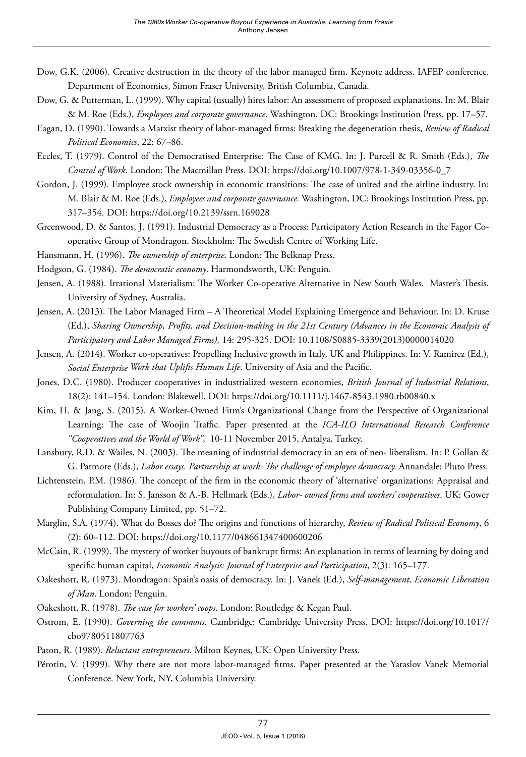- Dow, G.K. (2006). Creative destruction in the theory of the labor managed firm. Keynote address. IAFEP conference. Department of Economics, Simon Fraser University, British Columbia, Canada.
- Dow, G. & Putterman, L. (1999). Why capital (usually) hires labor: An assessment of proposed explanations. In: M. Blair & M. Roe (Eds.), *Employees and corporate governance*. Washington, DC: Brookings Institution Press, pp. 17–57.
- Eagan, D. (1990). Towards a Marxist theory of labor-managed firms: Breaking the degeneration thesis, *Review of Radical Political Economics*, 22: 67–86.
- Eccles, T. (1979). Control of the Democratised Enterprise: The Case of KMG. In: J. Purcell & R. Smith (Eds.), *The Control of Work*. London: The Macmillan Press. DOI: [https://doi.org/10.1007/978-1-349-03356-0\\_7](https://doi.org/10.1007/978-1-349-03356-0_7)
- Gordon, J. (1999). Employee stock ownership in economic transitions: The case of united and the airline industry. In: M. Blair & M. Roe (Eds.), *Employees and corporate governance.* Washington, DC: Brookings Institution Press, pp. 317–354. DOI:<https://doi.org/10.2139/ssrn.169028>
- Greenwood, D. & Santos, J. (1991). Industrial Democracy as a Process: Participatory Action Research in the Fagor Cooperative Group of Mondragon. Stockholm: The Swedish Centre of Working Life.
- Hansmann, H. (1996). *The ownership of enterprise*. London: The Belknap Press.
- Hodgson, G. (1984). *The democratic economy*. Harmondsworth, UK: Penguin.
- Jensen, A. (1988). Irrational Materialism: The Worker Co-operative Alternative in New South Wales. Master's Thesis. University of Sydney, Australia.
- Jensen, A. (2013). The Labor Managed Firm A Theoretical Model Explaining Emergence and Behaviour. In: D. Kruse (Ed.), *Sharing Ownership, Profits, and Decision-making in the 21st Century (Advances in the Economic Analysis of Participatory and Labor Managed Firms),* 14: 295-325. DOI: [10.1108/S0885-3339\(2013\)0000014020](http://dx.doi.org/10.1108/S0885-3339(2013)0000014020)
- Jensen, A. (2014). Worker co-operatives: Propelling Inclusive growth in Italy, UK and Philippines. In: V. Ramirez (Ed.), *Social Enterprise Work that Uplifts Human Life*. University of Asia and the Pacific.
- Jones, D.C. (1980). Producer cooperatives in industrialized western economies, *British Journal of Industrial Relations*, 18(2): 141–154. London: Blakewell. DOI: <https://doi.org/10.1111/j.1467-8543.1980.tb00840.x>
- Kim, H. & Jang, S. (2015). A Worker-Owned Firm's Organizational Change from the Perspective of Organizational Learning: The case of Woojin Traffic. Paper presented at the *ICA-ILO International Research Conference "Cooperatives and the World of Work"*, 10-11 November 2015, Antalya, Turkey.
- Lansbury, R.D. & Wailes, N. (2003). The meaning of industrial democracy in an era of neo- liberalism. In: P. Gollan & G. Patmore (Eds.), *Labor essays. Partnership at work: The challenge of employee democracy.* Annandale: Pluto Press.
- Lichtenstein, P.M. (1986). The concept of the firm in the economic theory of 'alternative' organizations: Appraisal and reformulation. In: S. Jansson & A.-B. Hellmark (Eds.), *Labor- owned firms and workers' cooperatives*. UK: Gower Publishing Company Limited, pp. 51–72.
- Marglin, S.A. (1974). What do Bosses do? The origins and functions of hierarchy, *Review of Radical Political Economy*, 6 (2): 60–112. DOI:<https://doi.org/10.1177/048661347400600206>
- McCain, R. (1999). The mystery of worker buyouts of bankrupt firms: An explanation in terms of learning by doing and specific human capital, *Economic Analysis: Journal of Enterprise and Participation*, 2(3): 165–177.
- Oakeshott, R. (1973). Mondragon: Spain's oasis of democracy. In: J. Vanek (Ed.), *Self-management, Economic Liberation of Man*. London: Penguin.
- Oakeshott, R. (1978). *The case for workers' coops*. London: Routledge & Kegan Paul.
- Ostrom, E. (1990). *Governing the commons*. Cambridge: Cambridge University Press. DOI: [https://doi.org/10.1017/](https://doi.org/10.1017/cbo9780511807763) [cbo9780511807763](https://doi.org/10.1017/cbo9780511807763)
- Paton, R. (1989). *Reluctant entrepreneurs*. Milton Keynes, UK: Open University Press.
- Pérotin, V. (1999). Why there are not more labor-managed firms. Paper presented at the Yaraslov Vanek Memorial Conference. New York, NY, Columbia University.